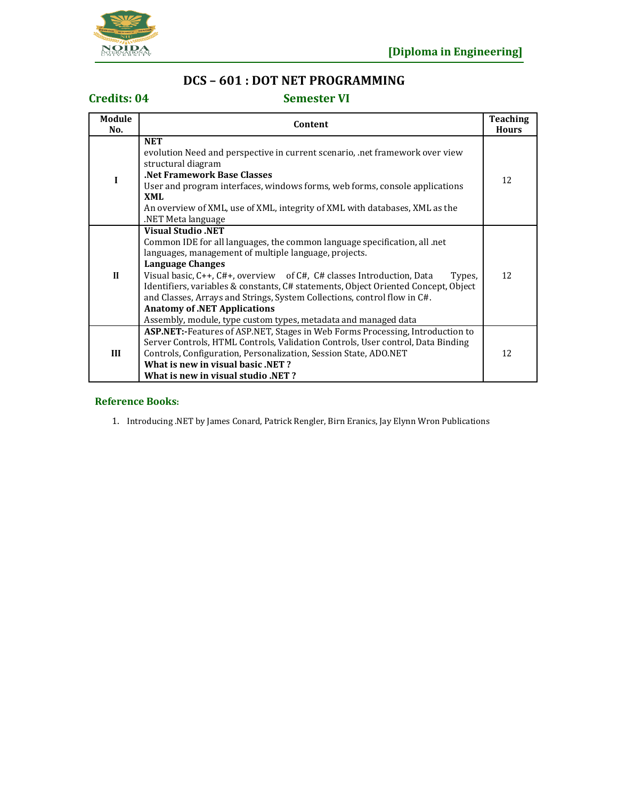

## **DCS – 601 : DOT NET PROGRAMMING**

### **Credits: 04 Semester VI**

| Module<br>No. | Content                                                                                                                                                                                                                                                                                                                                                                                                                                                                                                                                           | <b>Teaching</b><br><b>Hours</b> |
|---------------|---------------------------------------------------------------------------------------------------------------------------------------------------------------------------------------------------------------------------------------------------------------------------------------------------------------------------------------------------------------------------------------------------------------------------------------------------------------------------------------------------------------------------------------------------|---------------------------------|
| $\mathbf I$   | <b>NET</b><br>evolution Need and perspective in current scenario, net framework over view<br>structural diagram<br>.Net Framework Base Classes<br>User and program interfaces, windows forms, web forms, console applications<br>XML<br>An overview of XML, use of XML, integrity of XML with databases, XML as the<br>NET Meta language                                                                                                                                                                                                          | 12                              |
| $\mathbf{I}$  | <b>Visual Studio .NET</b><br>Common IDE for all languages, the common language specification, all .net<br>languages, management of multiple language, projects.<br>Language Changes<br>Visual basic, C++, C#+, overview of C#, C# classes Introduction, Data<br>Types,<br>Identifiers, variables & constants, C# statements, Object Oriented Concept, Object<br>and Classes, Arrays and Strings, System Collections, control flow in C#.<br><b>Anatomy of .NET Applications</b><br>Assembly, module, type custom types, metadata and managed data | 12                              |
| Ш             | <b>ASP.NET:-</b> Features of ASP.NET, Stages in Web Forms Processing, Introduction to<br>Server Controls, HTML Controls, Validation Controls, User control, Data Binding<br>Controls, Configuration, Personalization, Session State, ADO.NET<br>What is new in visual basic .NET?<br><b>What is new in visual studio .NET?</b>                                                                                                                                                                                                                    | 12                              |

### **Reference Books:**

1. Introducing .NET by James Conard, Patrick Rengler, Birn Eranics, Jay Elynn Wron Publications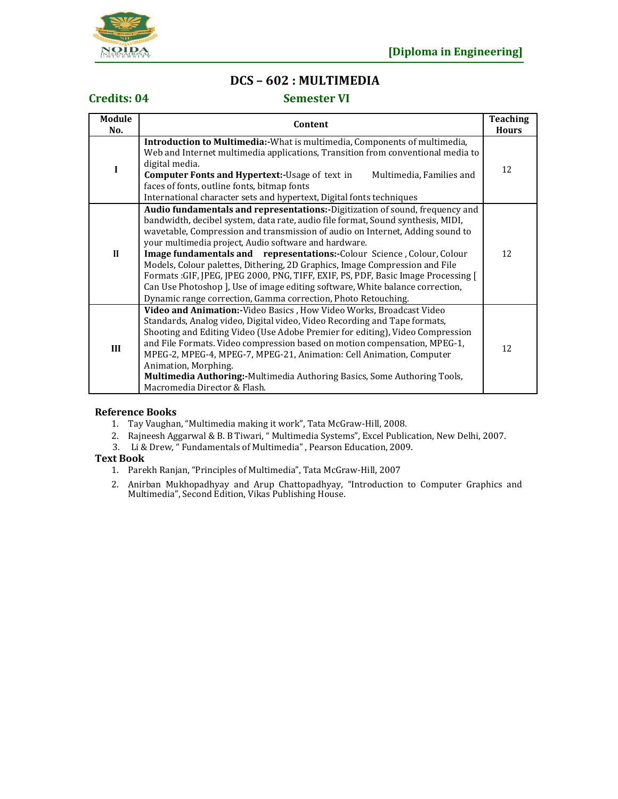

## **DCS – 602 : MULTIMEDIA**

### **Credits: 04 Semester VI**

| Module<br>No. | Content                                                                                                                                                                                                                                                                                                                                                                                                                                                                                                                                                                                                                                                                                                  | <b>Teaching</b><br><b>Hours</b> |
|---------------|----------------------------------------------------------------------------------------------------------------------------------------------------------------------------------------------------------------------------------------------------------------------------------------------------------------------------------------------------------------------------------------------------------------------------------------------------------------------------------------------------------------------------------------------------------------------------------------------------------------------------------------------------------------------------------------------------------|---------------------------------|
| I             | <b>Introduction to Multimedia:</b> -What is multimedia, Components of multimedia,<br>Web and Internet multimedia applications, Transition from conventional media to<br>digital media.<br><b>Computer Fonts and Hypertext:-Usage of text in</b><br>Multimedia, Families and<br>faces of fonts, outline fonts, bitmap fonts<br>International character sets and hypertext, Digital fonts techniques                                                                                                                                                                                                                                                                                                       | 12                              |
| $\mathbf{I}$  | Audio fundamentals and representations:-Digitization of sound, frequency and<br>bandwidth, decibel system, data rate, audio file format, Sound synthesis, MIDI,<br>wavetable, Compression and transmission of audio on Internet, Adding sound to<br>your multimedia project, Audio software and hardware.<br>Image fundamentals and representations:-Colour Science, Colour, Colour<br>Models, Colour palettes, Dithering, 2D Graphics, Image Compression and File<br>Formats:GIF, JPEG, JPEG 2000, PNG, TIFF, EXIF, PS, PDF, Basic Image Processing [<br>Can Use Photoshop ], Use of image editing software, White balance correction,<br>Dynamic range correction, Gamma correction, Photo Retouching. | 12                              |
| III           | Video and Animation:-Video Basics, How Video Works, Broadcast Video<br>Standards, Analog video, Digital video, Video Recording and Tape formats,<br>Shooting and Editing Video (Use Adobe Premier for editing), Video Compression<br>and File Formats. Video compression based on motion compensation, MPEG-1,<br>MPEG-2, MPEG-4, MPEG-7, MPEG-21, Animation: Cell Animation, Computer<br>Animation, Morphing.<br>Multimedia Authoring:-Multimedia Authoring Basics, Some Authoring Tools,<br>Macromedia Director & Flash.                                                                                                                                                                               | 12                              |

### **Reference Books**

- 1. Tay Vaughan, "Multimedia making it work", Tata McGraw-Hill, 2008.
- 2. Rajneesh Aggarwal & B. B Tiwari, " Multimedia Systems", Excel Publication, New Delhi, 2007.
- 3. Li & Drew, " Fundamentals of Multimedia" , Pearson Education, 2009.

### **Text Book**

- 1. Parekh Ranjan, "Principles of Multimedia", Tata McGraw-Hill, 2007
- 2. Anirban Mukhopadhyay and Arup Chattopadhyay, "Introduction to Computer Graphics and Multimedia", Second Edition, Vikas Publishing House.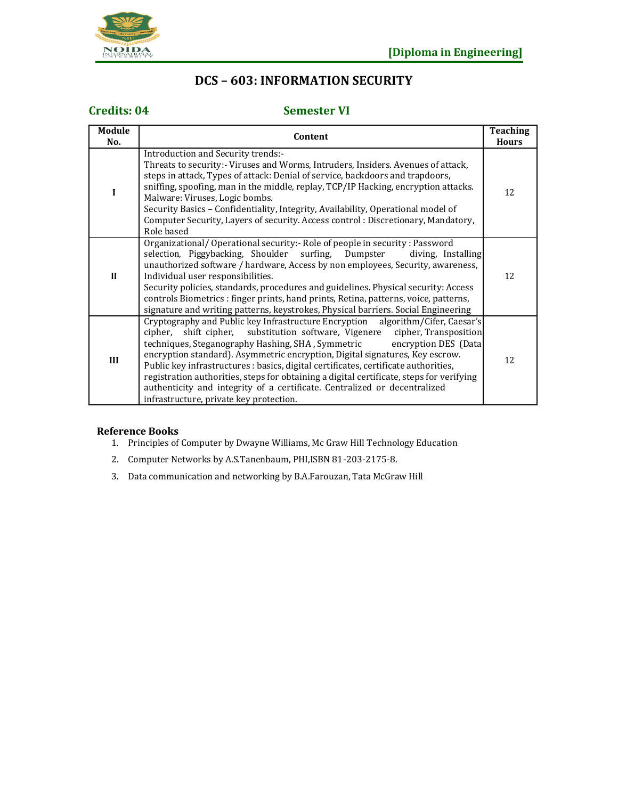

## **DCS – 603: INFORMATION SECURITY**

## **Credits: 04 Semester VI**

| Module<br>No. | Content                                                                                                                                                                                                                                                                                                                                                                                                                                                                                                                                                                                                                             | <b>Teaching</b><br><b>Hours</b> |
|---------------|-------------------------------------------------------------------------------------------------------------------------------------------------------------------------------------------------------------------------------------------------------------------------------------------------------------------------------------------------------------------------------------------------------------------------------------------------------------------------------------------------------------------------------------------------------------------------------------------------------------------------------------|---------------------------------|
| I             | Introduction and Security trends:-<br>Threats to security:- Viruses and Worms, Intruders, Insiders. Avenues of attack,<br>steps in attack, Types of attack: Denial of service, backdoors and trapdoors,<br>sniffing, spoofing, man in the middle, replay, TCP/IP Hacking, encryption attacks.<br>Malware: Viruses, Logic bombs.<br>Security Basics – Confidentiality, Integrity, Availability, Operational model of<br>Computer Security, Layers of security. Access control: Discretionary, Mandatory,<br>Role based                                                                                                               | 12                              |
| $\mathbf{I}$  | Organizational/Operational security: Role of people in security: Password<br>selection, Piggybacking, Shoulder surfing, Dumpster<br>diving, Installing<br>unauthorized software / hardware, Access by non employees, Security, awareness,<br>Individual user responsibilities.<br>Security policies, standards, procedures and guidelines. Physical security: Access<br>controls Biometrics : finger prints, hand prints, Retina, patterns, voice, patterns,<br>signature and writing patterns, keystrokes, Physical barriers. Social Engineering                                                                                   | 12                              |
| III           | Cryptography and Public key Infrastructure Encryption algorithm/Cifer, Caesar's<br>cipher, shift cipher, substitution software, Vigenere cipher, Transposition<br>techniques, Steganography Hashing, SHA, Symmetric encryption DES (Data<br>encryption standard). Asymmetric encryption, Digital signatures, Key escrow.<br>Public key infrastructures : basics, digital certificates, certificate authorities,<br>registration authorities, steps for obtaining a digital certificate, steps for verifying<br>authenticity and integrity of a certificate. Centralized or decentralized<br>infrastructure, private key protection. | 12                              |

### **Reference Books**

- 1. Principles of Computer by Dwayne Williams, Mc Graw Hill Technology Education
- 2. Computer Networks by A.S.Tanenbaum, PHI,ISBN 81-203-2175-8.
- 3. Data communication and networking by B.A.Farouzan, Tata McGraw Hill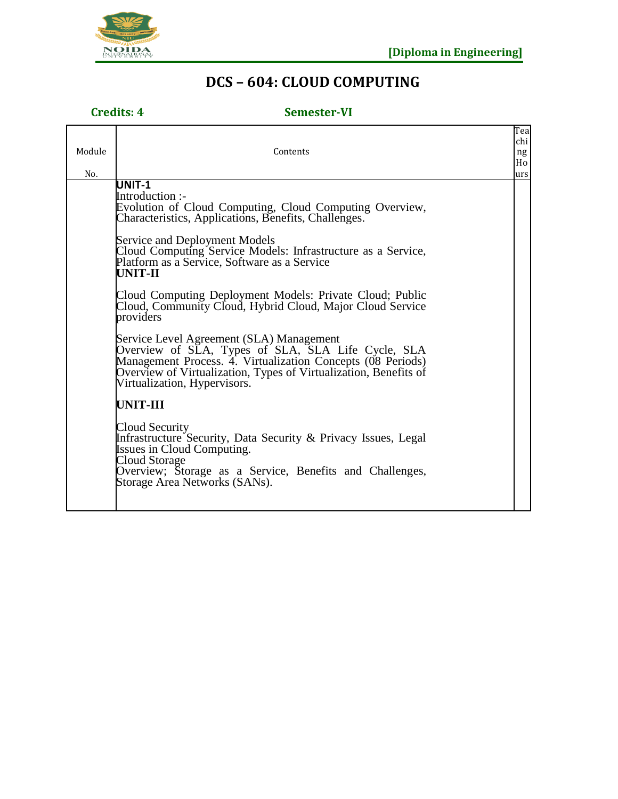

# **DCS – 604: CLOUD COMPUTING**

## **Credits: 4 Semester-VI**

| Module<br>No. | Contents                                                                                                                                                                                                                                                          | Tea<br>chi<br>ng<br>Ho<br>urs |
|---------------|-------------------------------------------------------------------------------------------------------------------------------------------------------------------------------------------------------------------------------------------------------------------|-------------------------------|
|               | UNIT-1<br>Introduction :-<br>Evolution of Cloud Computing, Cloud Computing Overview,<br>Characteristics, Applications, Benefits, Challenges.                                                                                                                      |                               |
|               | Service and Deployment Models<br>Cloud Computing Service Models: Infrastructure as a Service,<br>Platform as a Service, Software as a Service<br>UNIT-II                                                                                                          |                               |
|               | Cloud Computing Deployment Models: Private Cloud; Public<br>Cloud, Community Cloud, Hybrid Cloud, Major Cloud Service<br>providers                                                                                                                                |                               |
|               | Service Level Agreement (SLA) Management<br>Overview of SLA, Types of SLA, SLA Life Cycle, SLA<br>Management Process. 4. Virtualization Concepts (08 Periods)<br>Overview of Virtualization, Types of Virtualization, Benefits of<br>Virtualization, Hypervisors. |                               |
|               | <b>UNIT-III</b>                                                                                                                                                                                                                                                   |                               |
|               | Cloud Security<br>Infrastructure Security, Data Security & Privacy Issues, Legal<br><b>Issues in Cloud Computing.</b><br>Cloud Storage<br>Overview; Storage as a Service, Benefits and Challenges,<br>Storage Area Networks (SANs).                               |                               |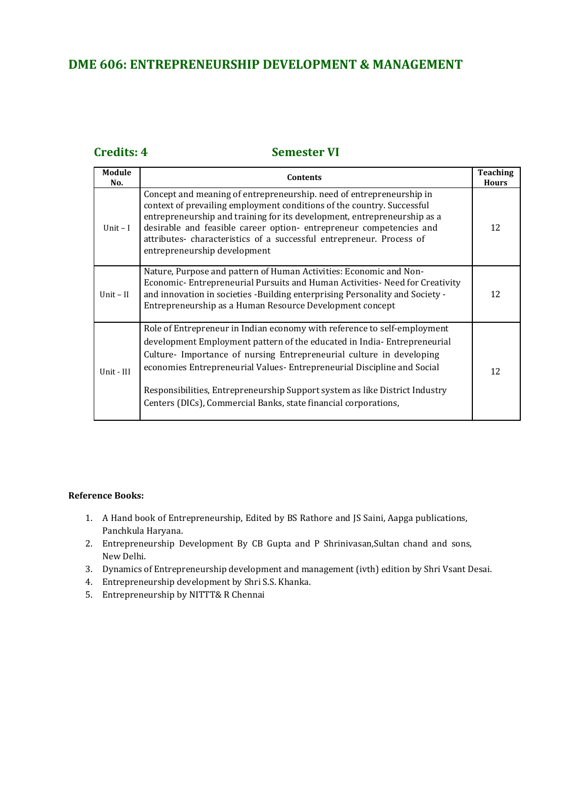## **DME 606: ENTREPRENEURSHIP DEVELOPMENT & MANAGEMENT**

## **Credits: 4 Semester VI**

| Module<br>No. | <b>Contents</b>                                                                                                                                                                                                                                                                                                                                                                                                                                         | <b>Teaching</b><br><b>Hours</b> |
|---------------|---------------------------------------------------------------------------------------------------------------------------------------------------------------------------------------------------------------------------------------------------------------------------------------------------------------------------------------------------------------------------------------------------------------------------------------------------------|---------------------------------|
| Unit $-I$     | Concept and meaning of entrepreneurship. need of entrepreneurship in<br>context of prevailing employment conditions of the country. Successful<br>entrepreneurship and training for its development, entrepreneurship as a<br>desirable and feasible career option- entrepreneur competencies and<br>attributes- characteristics of a successful entrepreneur. Process of<br>entrepreneurship development                                               | 12                              |
| Unit $-II$    | Nature, Purpose and pattern of Human Activities: Economic and Non-<br>Economic-Entrepreneurial Pursuits and Human Activities-Need for Creativity<br>and innovation in societies -Building enterprising Personality and Society -<br>Entrepreneurship as a Human Resource Development concept                                                                                                                                                            | 12                              |
| Unit - III    | Role of Entrepreneur in Indian economy with reference to self-employment<br>development Employment pattern of the educated in India-Entrepreneurial<br>Culture- Importance of nursing Entrepreneurial culture in developing<br>economies Entrepreneurial Values-Entrepreneurial Discipline and Social<br>Responsibilities, Entrepreneurship Support system as like District Industry<br>Centers (DICs), Commercial Banks, state financial corporations, | 12                              |

### **Reference Books:**

- 1. A Hand book of Entrepreneurship, Edited by BS Rathore and JS Saini, Aapga publications, Panchkula Haryana.
- 2. Entrepreneurship Development By CB Gupta and P Shrinivasan,Sultan chand and sons, New Delhi.
- 3. Dynamics of Entrepreneurship development and management (ivth) edition by Shri Vsant Desai.
- 4. Entrepreneurship development by Shri S.S. Khanka.
- 5. Entrepreneurship by NITTT& R Chennai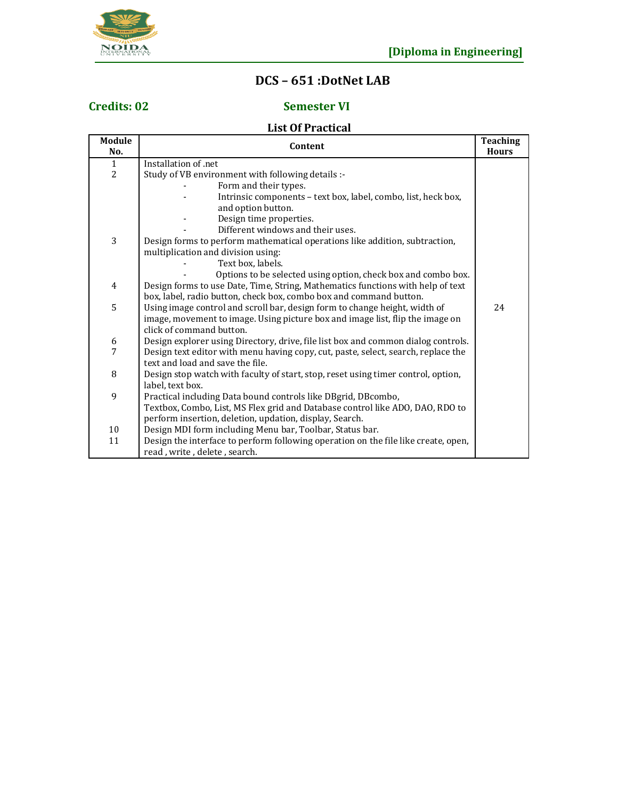

# **DCS – 651 :DotNet LAB**

## **Credits: 02 Semester VI**

## **List Of Practical**

| Module<br>No.  | Content                                                                            | Teaching<br><b>Hours</b> |
|----------------|------------------------------------------------------------------------------------|--------------------------|
| $\mathbf{1}$   | Installation of .net                                                               |                          |
| $\overline{2}$ | Study of VB environment with following details :-                                  |                          |
|                | Form and their types.                                                              |                          |
|                | Intrinsic components - text box, label, combo, list, heck box,                     |                          |
|                | and option button.                                                                 |                          |
|                | Design time properties.                                                            |                          |
|                | Different windows and their uses.                                                  |                          |
| 3              | Design forms to perform mathematical operations like addition, subtraction,        |                          |
|                | multiplication and division using:                                                 |                          |
|                | Text box, labels.                                                                  |                          |
|                | Options to be selected using option, check box and combo box.                      |                          |
| $\overline{4}$ | Design forms to use Date, Time, String, Mathematics functions with help of text    |                          |
|                | box, label, radio button, check box, combo box and command button.                 |                          |
| 5              | Using image control and scroll bar, design form to change height, width of         | 24                       |
|                | image, movement to image. Using picture box and image list, flip the image on      |                          |
|                | click of command button.                                                           |                          |
| 6              | Design explorer using Directory, drive, file list box and common dialog controls.  |                          |
| 7              | Design text editor with menu having copy, cut, paste, select, search, replace the  |                          |
|                | text and load and save the file.                                                   |                          |
| 8              | Design stop watch with faculty of start, stop, reset using timer control, option,  |                          |
|                | label, text box.                                                                   |                          |
| 9              | Practical including Data bound controls like DBgrid, DBcombo,                      |                          |
|                | Textbox, Combo, List, MS Flex grid and Database control like ADO, DAO, RDO to      |                          |
|                | perform insertion, deletion, updation, display, Search.                            |                          |
| 10             | Design MDI form including Menu bar, Toolbar, Status bar.                           |                          |
| 11             | Design the interface to perform following operation on the file like create, open, |                          |
|                | read, write, delete, search.                                                       |                          |